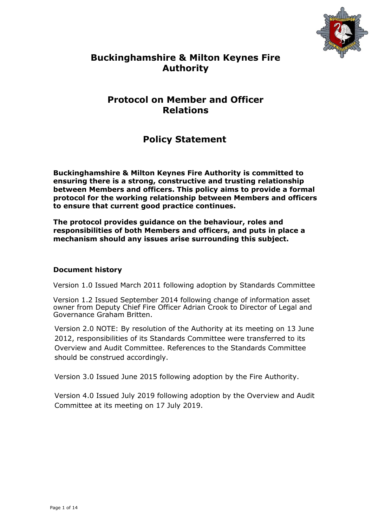

# **Buckinghamshire & Milton Keynes Fire Authority**

# **Protocol on Member and Officer Relations**

# **Policy Statement**

**Buckinghamshire & Milton Keynes Fire Authority is committed to ensuring there is a strong, constructive and trusting relationship between Members and officers. This policy aims to provide a formal protocol for the working relationship between Members and officers to ensure that current good practice continues.**

**The protocol provides guidance on the behaviour, roles and responsibilities of both Members and officers, and puts in place a mechanism should any issues arise surrounding this subject.**

#### **Document history**

Version 1.0 Issued March 2011 following adoption by Standards Committee

Version 1.2 Issued September 2014 following change of information asset owner from Deputy Chief Fire Officer Adrian Crook to Director of Legal and Governance Graham Britten.

Version 2.0 NOTE: By resolution of the Authority at its meeting on 13 June 2012, responsibilities of its Standards Committee were transferred to its Overview and Audit Committee. References to the Standards Committee should be construed accordingly.

Version 3.0 Issued June 2015 following adoption by the Fire Authority.

Version 4.0 Issued July 2019 following adoption by the Overview and Audit Committee at its meeting on 17 July 2019.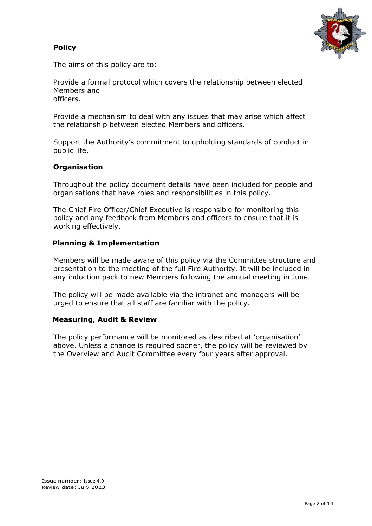## **Policy**



The aims of this policy are to:

Provide a formal protocol which covers the relationship between elected Members and officers.

Provide a mechanism to deal with any issues that may arise which affect the relationship between elected Members and officers.

Support the Authority's commitment to upholding standards of conduct in public life.

#### **Organisation**

Throughout the policy document details have been included for people and organisations that have roles and responsibilities in this policy.

The Chief Fire Officer/Chief Executive is responsible for monitoring this policy and any feedback from Members and officers to ensure that it is working effectively.

#### **Planning & Implementation**

Members will be made aware of this policy via the Committee structure and presentation to the meeting of the full Fire Authority. It will be included in any induction pack to new Members following the annual meeting in June.

The policy will be made available via the intranet and managers will be urged to ensure that all staff are familiar with the policy.

#### **Measuring, Audit & Review**

The policy performance will be monitored as described at 'organisation' above. Unless a change is required sooner, the policy will be reviewed by the Overview and Audit Committee every four years after approval.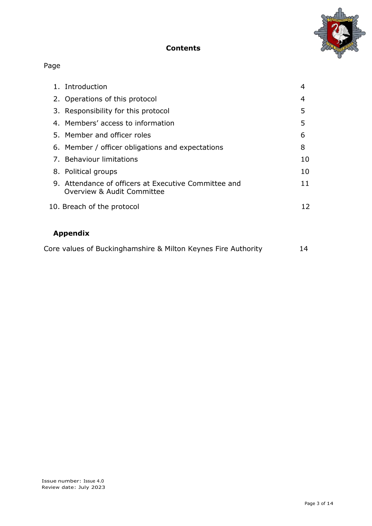

## **Contents**

## Page

| 1. Introduction                                                                    | 4  |
|------------------------------------------------------------------------------------|----|
| 2. Operations of this protocol                                                     | 4  |
| 3. Responsibility for this protocol                                                | 5  |
| 4. Members' access to information                                                  | 5  |
| 5. Member and officer roles                                                        | 6  |
| 6. Member / officer obligations and expectations                                   | 8  |
| 7. Behaviour limitations                                                           | 10 |
| 8. Political groups                                                                | 10 |
| 9. Attendance of officers at Executive Committee and<br>Overview & Audit Committee | 11 |
| 10. Breach of the protocol                                                         | 12 |

## **Appendix**

| Core values of Buckinghamshire & Milton Keynes Fire Authority | 14 |
|---------------------------------------------------------------|----|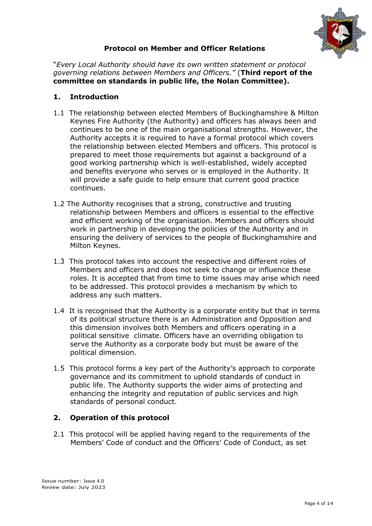

## **Protocol on Member and Officer Relations**

"*Every Local Authority should have its own written statement or protocol governing relations between Members and Officers."* (**Third report of the committee on standards in public life, the Nolan Committee).**

### **1. Introduction**

- 1.1 The relationship between elected Members of Buckinghamshire & Milton Keynes Fire Authority (the Authority) and officers has always been and continues to be one of the main organisational strengths. However, the Authority accepts it is required to have a formal protocol which covers the relationship between elected Members and officers. This protocol is prepared to meet those requirements but against a background of a good working partnership which is well-established, widely accepted and benefits everyone who serves or is employed in the Authority. It will provide a safe guide to help ensure that current good practice continues.
- 1.2 The Authority recognises that a strong, constructive and trusting relationship between Members and officers is essential to the effective and efficient working of the organisation. Members and officers should work in partnership in developing the policies of the Authority and in ensuring the delivery of services to the people of Buckinghamshire and Milton Keynes.
- 1.3 This protocol takes into account the respective and different roles of Members and officers and does not seek to change or influence these roles. It is accepted that from time to time issues may arise which need to be addressed. This protocol provides a mechanism by which to address any such matters.
- 1.4 It is recognised that the Authority is a corporate entity but that in terms of its political structure there is an Administration and Opposition and this dimension involves both Members and officers operating in a political sensitive climate. Officers have an overriding obligation to serve the Authority as a corporate body but must be aware of the political dimension.
- 1.5 This protocol forms a key part of the Authority's approach to corporate governance and its commitment to uphold standards of conduct in public life. The Authority supports the wider aims of protecting and enhancing the integrity and reputation of public services and high standards of personal conduct.

## **2. Operation of this protocol**

2.1 This protocol will be applied having regard to the requirements of the Members' Code of conduct and the Officers' Code of Conduct, as set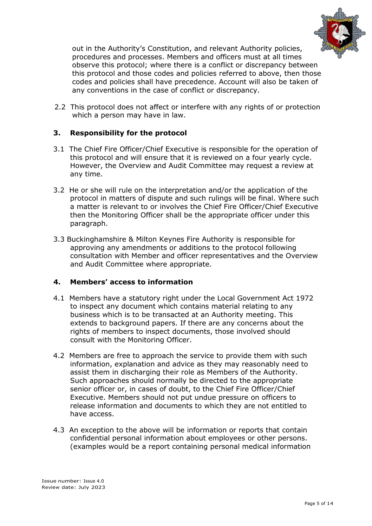

out in the Authority's Constitution, and relevant Authority policies, procedures and processes. Members and officers must at all times observe this protocol; where there is a conflict or discrepancy between this protocol and those codes and policies referred to above, then those codes and policies shall have precedence. Account will also be taken of any conventions in the case of conflict or discrepancy.

2.2 This protocol does not affect or interfere with any rights of or protection which a person may have in law.

#### **3. Responsibility for the protocol**

- 3.1 The Chief Fire Officer/Chief Executive is responsible for the operation of this protocol and will ensure that it is reviewed on a four yearly cycle. However, the Overview and Audit Committee may request a review at any time.
- 3.2 He or she will rule on the interpretation and/or the application of the protocol in matters of dispute and such rulings will be final. Where such a matter is relevant to or involves the Chief Fire Officer/Chief Executive then the Monitoring Officer shall be the appropriate officer under this paragraph.
- 3.3 Buckinghamshire & Milton Keynes Fire Authority is responsible for approving any amendments or additions to the protocol following consultation with Member and officer representatives and the Overview and Audit Committee where appropriate.

#### **4. Members' access to information**

- 4.1 Members have a statutory right under the Local Government Act 1972 to inspect any document which contains material relating to any business which is to be transacted at an Authority meeting. This extends to background papers. If there are any concerns about the rights of members to inspect documents, those involved should consult with the Monitoring Officer.
- 4.2 Members are free to approach the service to provide them with such information, explanation and advice as they may reasonably need to assist them in discharging their role as Members of the Authority. Such approaches should normally be directed to the appropriate senior officer or, in cases of doubt, to the Chief Fire Officer/Chief Executive. Members should not put undue pressure on officers to release information and documents to which they are not entitled to have access.
- 4.3 An exception to the above will be information or reports that contain confidential personal information about employees or other persons. (examples would be a report containing personal medical information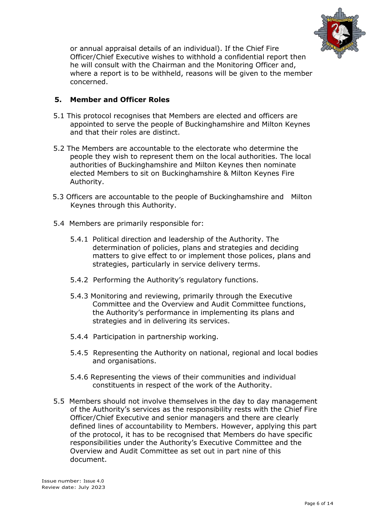

or annual appraisal details of an individual). If the Chief Fire Officer/Chief Executive wishes to withhold a confidential report then he will consult with the Chairman and the Monitoring Officer and, where a report is to be withheld, reasons will be given to the member concerned.

## **5. Member and Officer Roles**

- 5.1 This protocol recognises that Members are elected and officers are appointed to serve the people of Buckinghamshire and Milton Keynes and that their roles are distinct.
- 5.2 The Members are accountable to the electorate who determine the people they wish to represent them on the local authorities. The local authorities of Buckinghamshire and Milton Keynes then nominate elected Members to sit on Buckinghamshire & Milton Keynes Fire Authority.
- 5.3 Officers are accountable to the people of Buckinghamshire and Milton Keynes through this Authority.
- 5.4 Members are primarily responsible for:
	- 5.4.1 Political direction and leadership of the Authority. The determination of policies, plans and strategies and deciding matters to give effect to or implement those polices, plans and strategies, particularly in service delivery terms.
	- 5.4.2 Performing the Authority's regulatory functions.
	- 5.4.3 Monitoring and reviewing, primarily through the Executive Committee and the Overview and Audit Committee functions, the Authority's performance in implementing its plans and strategies and in delivering its services.
	- 5.4.4 Participation in partnership working.
	- 5.4.5 Representing the Authority on national, regional and local bodies and organisations.
	- 5.4.6 Representing the views of their communities and individual constituents in respect of the work of the Authority.
- 5.5 Members should not involve themselves in the day to day management of the Authority's services as the responsibility rests with the Chief Fire Officer/Chief Executive and senior managers and there are clearly defined lines of accountability to Members. However, applying this part of the protocol, it has to be recognised that Members do have specific responsibilities under the Authority's Executive Committee and the Overview and Audit Committee as set out in part nine of this document.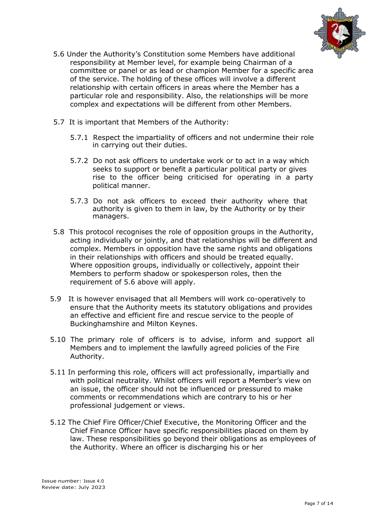

- 5.6 Under the Authority's Constitution some Members have additional responsibility at Member level, for example being Chairman of a committee or panel or as lead or champion Member for a specific area of the service. The holding of these offices will involve a different relationship with certain officers in areas where the Member has a particular role and responsibility. Also, the relationships will be more complex and expectations will be different from other Members.
- 5.7 It is important that Members of the Authority:
	- 5.7.1 Respect the impartiality of officers and not undermine their role in carrying out their duties.
	- 5.7.2 Do not ask officers to undertake work or to act in a way which seeks to support or benefit a particular political party or gives rise to the officer being criticised for operating in a party political manner.
	- 5.7.3 Do not ask officers to exceed their authority where that authority is given to them in law, by the Authority or by their managers.
- 5.8 This protocol recognises the role of opposition groups in the Authority, acting individually or jointly, and that relationships will be different and complex. Members in opposition have the same rights and obligations in their relationships with officers and should be treated equally. Where opposition groups, individually or collectively, appoint their Members to perform shadow or spokesperson roles, then the requirement of 5.6 above will apply.
- 5.9 It is however envisaged that all Members will work co-operatively to ensure that the Authority meets its statutory obligations and provides an effective and efficient fire and rescue service to the people of Buckinghamshire and Milton Keynes.
- 5.10 The primary role of officers is to advise, inform and support all Members and to implement the lawfully agreed policies of the Fire Authority.
- 5.11 In performing this role, officers will act professionally, impartially and with political neutrality. Whilst officers will report a Member's view on an issue, the officer should not be influenced or pressured to make comments or recommendations which are contrary to his or her professional judgement or views.
- 5.12 The Chief Fire Officer/Chief Executive, the Monitoring Officer and the Chief Finance Officer have specific responsibilities placed on them by law. These responsibilities go beyond their obligations as employees of the Authority. Where an officer is discharging his or her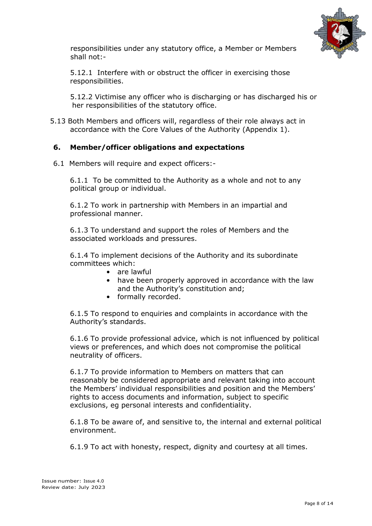

responsibilities under any statutory office, a Member or Members shall not:-

5.12.1 Interfere with or obstruct the officer in exercising those responsibilities.

5.12.2 Victimise any officer who is discharging or has discharged his or her responsibilities of the statutory office.

5.13 Both Members and officers will, regardless of their role always act in accordance with the Core Values of the Authority (Appendix 1).

#### **6. Member/officer obligations and expectations**

6.1 Members will require and expect officers:-

6.1.1 To be committed to the Authority as a whole and not to any political group or individual.

6.1.2 To work in partnership with Members in an impartial and professional manner.

6.1.3 To understand and support the roles of Members and the associated workloads and pressures.

6.1.4 To implement decisions of the Authority and its subordinate committees which:

- are lawful
- have been properly approved in accordance with the law and the Authority's constitution and;
- formally recorded.

6.1.5 To respond to enquiries and complaints in accordance with the Authority's standards.

6.1.6 To provide professional advice, which is not influenced by political views or preferences, and which does not compromise the political neutrality of officers.

6.1.7 To provide information to Members on matters that can reasonably be considered appropriate and relevant taking into account the Members' individual responsibilities and position and the Members' rights to access documents and information, subject to specific exclusions, eg personal interests and confidentiality.

6.1.8 To be aware of, and sensitive to, the internal and external political environment.

6.1.9 To act with honesty, respect, dignity and courtesy at all times.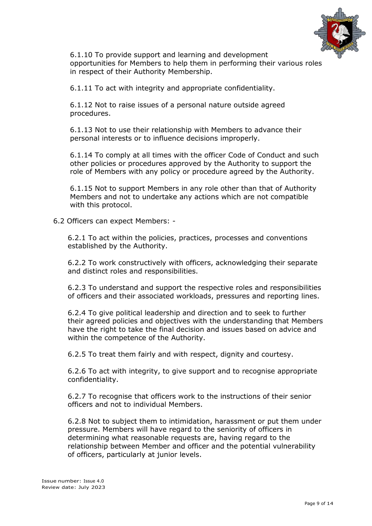

6.1.10 To provide support and learning and development opportunities for Members to help them in performing their various roles in respect of their Authority Membership.

6.1.11 To act with integrity and appropriate confidentiality.

6.1.12 Not to raise issues of a personal nature outside agreed procedures.

6.1.13 Not to use their relationship with Members to advance their personal interests or to influence decisions improperly.

6.1.14 To comply at all times with the officer Code of Conduct and such other policies or procedures approved by the Authority to support the role of Members with any policy or procedure agreed by the Authority.

6.1.15 Not to support Members in any role other than that of Authority Members and not to undertake any actions which are not compatible with this protocol.

6.2 Officers can expect Members: -

6.2.1 To act within the policies, practices, processes and conventions established by the Authority.

6.2.2 To work constructively with officers, acknowledging their separate and distinct roles and responsibilities.

6.2.3 To understand and support the respective roles and responsibilities of officers and their associated workloads, pressures and reporting lines.

6.2.4 To give political leadership and direction and to seek to further their agreed policies and objectives with the understanding that Members have the right to take the final decision and issues based on advice and within the competence of the Authority.

6.2.5 To treat them fairly and with respect, dignity and courtesy.

6.2.6 To act with integrity, to give support and to recognise appropriate confidentiality.

6.2.7 To recognise that officers work to the instructions of their senior officers and not to individual Members.

6.2.8 Not to subject them to intimidation, harassment or put them under pressure. Members will have regard to the seniority of officers in determining what reasonable requests are, having regard to the relationship between Member and officer and the potential vulnerability of officers, particularly at junior levels.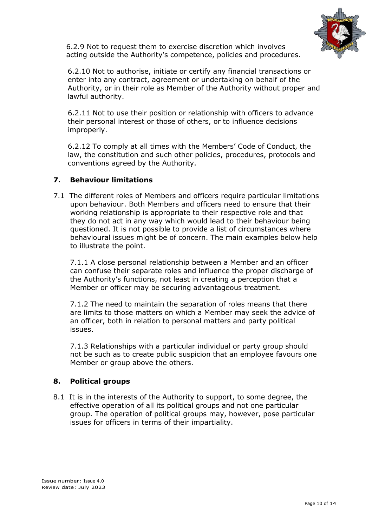

6.2.9 Not to request them to exercise discretion which involves acting outside the Authority's competence, policies and procedures.

6.2.10 Not to authorise, initiate or certify any financial transactions or enter into any contract, agreement or undertaking on behalf of the Authority, or in their role as Member of the Authority without proper and lawful authority.

6.2.11 Not to use their position or relationship with officers to advance their personal interest or those of others, or to influence decisions improperly.

6.2.12 To comply at all times with the Members' Code of Conduct, the law, the constitution and such other policies, procedures, protocols and conventions agreed by the Authority.

### **7. Behaviour limitations**

7.1 The different roles of Members and officers require particular limitations upon behaviour. Both Members and officers need to ensure that their working relationship is appropriate to their respective role and that they do not act in any way which would lead to their behaviour being questioned. It is not possible to provide a list of circumstances where behavioural issues might be of concern. The main examples below help to illustrate the point.

7.1.1 A close personal relationship between a Member and an officer can confuse their separate roles and influence the proper discharge of the Authority's functions, not least in creating a perception that a Member or officer may be securing advantageous treatment.

7.1.2 The need to maintain the separation of roles means that there are limits to those matters on which a Member may seek the advice of an officer, both in relation to personal matters and party political issues.

7.1.3 Relationships with a particular individual or party group should not be such as to create public suspicion that an employee favours one Member or group above the others.

#### **8. Political groups**

8.1 It is in the interests of the Authority to support, to some degree, the effective operation of all its political groups and not one particular group. The operation of political groups may, however, pose particular issues for officers in terms of their impartiality.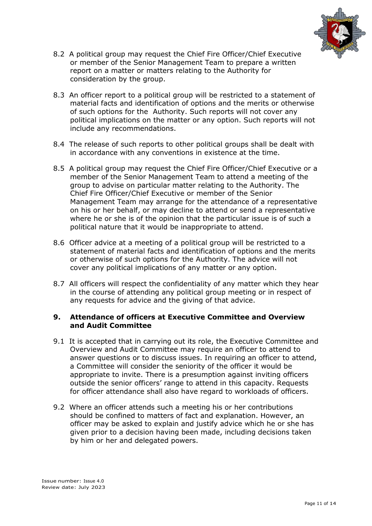

- 8.2 A political group may request the Chief Fire Officer/Chief Executive or member of the Senior Management Team to prepare a written report on a matter or matters relating to the Authority for consideration by the group.
- 8.3 An officer report to a political group will be restricted to a statement of material facts and identification of options and the merits or otherwise of such options for the Authority. Such reports will not cover any political implications on the matter or any option. Such reports will not include any recommendations.
- 8.4 The release of such reports to other political groups shall be dealt with in accordance with any conventions in existence at the time.
- 8.5 A political group may request the Chief Fire Officer/Chief Executive or a member of the Senior Management Team to attend a meeting of the group to advise on particular matter relating to the Authority. The Chief Fire Officer/Chief Executive or member of the Senior Management Team may arrange for the attendance of a representative on his or her behalf, or may decline to attend or send a representative where he or she is of the opinion that the particular issue is of such a political nature that it would be inappropriate to attend.
- 8.6 Officer advice at a meeting of a political group will be restricted to a statement of material facts and identification of options and the merits or otherwise of such options for the Authority. The advice will not cover any political implications of any matter or any option.
- 8.7 All officers will respect the confidentiality of any matter which they hear in the course of attending any political group meeting or in respect of any requests for advice and the giving of that advice.

#### **9. Attendance of officers at Executive Committee and Overview and Audit Committee**

- 9.1 It is accepted that in carrying out its role, the Executive Committee and Overview and Audit Committee may require an officer to attend to answer questions or to discuss issues. In requiring an officer to attend, a Committee will consider the seniority of the officer it would be appropriate to invite. There is a presumption against inviting officers outside the senior officers' range to attend in this capacity. Requests for officer attendance shall also have regard to workloads of officers.
- 9.2 Where an officer attends such a meeting his or her contributions should be confined to matters of fact and explanation. However, an officer may be asked to explain and justify advice which he or she has given prior to a decision having been made, including decisions taken by him or her and delegated powers.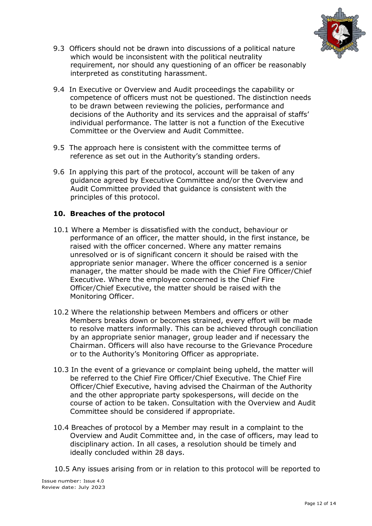

- 9.3 Officers should not be drawn into discussions of a political nature which would be inconsistent with the political neutrality requirement, nor should any questioning of an officer be reasonably interpreted as constituting harassment.
- 9.4 In Executive or Overview and Audit proceedings the capability or competence of officers must not be questioned. The distinction needs to be drawn between reviewing the policies, performance and decisions of the Authority and its services and the appraisal of staffs' individual performance. The latter is not a function of the Executive Committee or the Overview and Audit Committee.
- 9.5 The approach here is consistent with the committee terms of reference as set out in the Authority's standing orders.
- 9.6 In applying this part of the protocol, account will be taken of any guidance agreed by Executive Committee and/or the Overview and Audit Committee provided that guidance is consistent with the principles of this protocol.

#### **10. Breaches of the protocol**

- 10.1 Where a Member is dissatisfied with the conduct, behaviour or performance of an officer, the matter should, in the first instance, be raised with the officer concerned. Where any matter remains unresolved or is of significant concern it should be raised with the appropriate senior manager. Where the officer concerned is a senior manager, the matter should be made with the Chief Fire Officer/Chief Executive. Where the employee concerned is the Chief Fire Officer/Chief Executive, the matter should be raised with the Monitoring Officer.
- 10.2 Where the relationship between Members and officers or other Members breaks down or becomes strained, every effort will be made to resolve matters informally. This can be achieved through conciliation by an appropriate senior manager, group leader and if necessary the Chairman. Officers will also have recourse to the Grievance Procedure or to the Authority's Monitoring Officer as appropriate.
- 10.3 In the event of a grievance or complaint being upheld, the matter will be referred to the Chief Fire Officer/Chief Executive. The Chief Fire Officer/Chief Executive, having advised the Chairman of the Authority and the other appropriate party spokespersons, will decide on the course of action to be taken. Consultation with the Overview and Audit Committee should be considered if appropriate.
- 10.4 Breaches of protocol by a Member may result in a complaint to the Overview and Audit Committee and, in the case of officers, may lead to disciplinary action. In all cases, a resolution should be timely and ideally concluded within 28 days.

10.5 Any issues arising from or in relation to this protocol will be reported to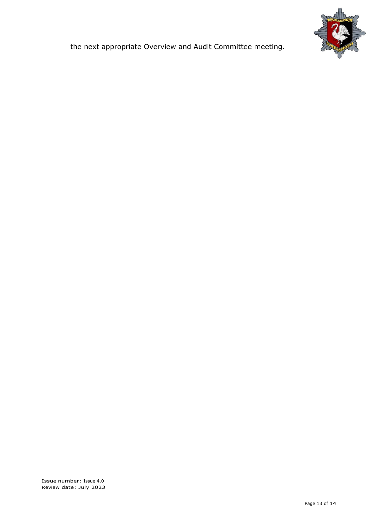

the next appropriate Overview and Audit Committee meeting.